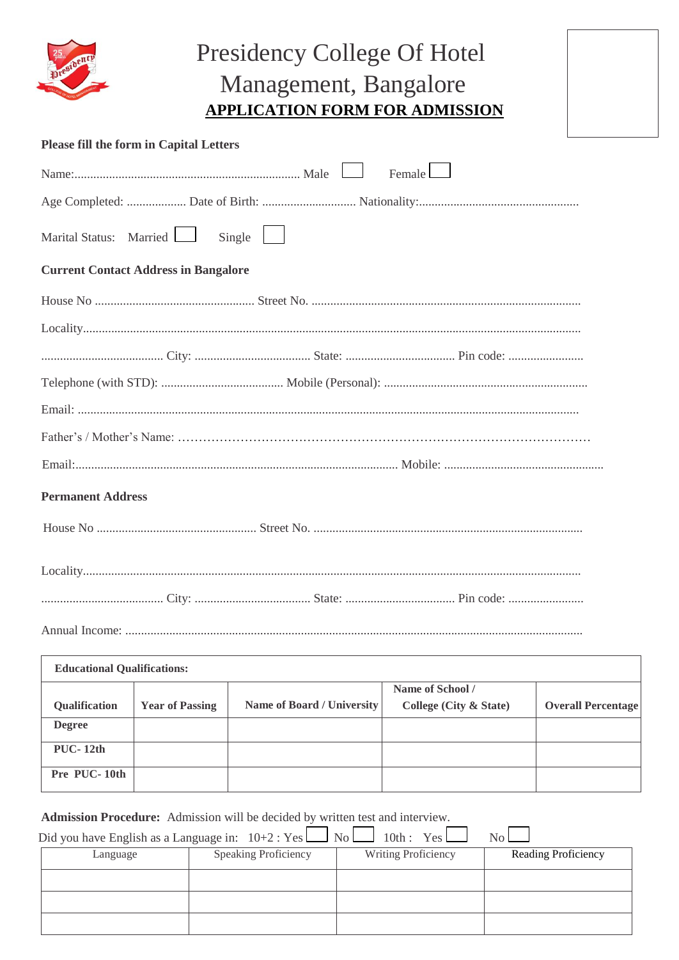

## Presidency College Of Hotel Management, Bangalore **APPLICATION FORM FOR ADMISSION**

| <b>Please fill the form in Capital Letters</b> |  |
|------------------------------------------------|--|
| $F$ emale                                      |  |
|                                                |  |
| Marital Status: Married<br>Single              |  |
| <b>Current Contact Address in Bangalore</b>    |  |
|                                                |  |
|                                                |  |
|                                                |  |
|                                                |  |
|                                                |  |
|                                                |  |
|                                                |  |
| <b>Permanent Address</b>                       |  |
|                                                |  |
|                                                |  |
|                                                |  |
|                                                |  |

| <b>Educational Qualifications:</b> |                        |                            |                        |                           |  |  |
|------------------------------------|------------------------|----------------------------|------------------------|---------------------------|--|--|
|                                    |                        |                            | Name of School /       |                           |  |  |
| Qualification                      | <b>Year of Passing</b> | Name of Board / University | College (City & State) | <b>Overall Percentage</b> |  |  |
| <b>Degree</b>                      |                        |                            |                        |                           |  |  |
| $PUC-12th$                         |                        |                            |                        |                           |  |  |
| Pre PUC-10th                       |                        |                            |                        |                           |  |  |

**Admission Procedure:** Admission will be decided by written test and interview.

| Did you have English as a Language in: $10+2$ : Yes $\Box$ No $\Box$ 10th: Yes $\Box$ |                             |                            | $No$ $\Box$                |
|---------------------------------------------------------------------------------------|-----------------------------|----------------------------|----------------------------|
| Language                                                                              | <b>Speaking Proficiency</b> | <b>Writing Proficiency</b> | <b>Reading Proficiency</b> |
|                                                                                       |                             |                            |                            |
|                                                                                       |                             |                            |                            |
|                                                                                       |                             |                            |                            |